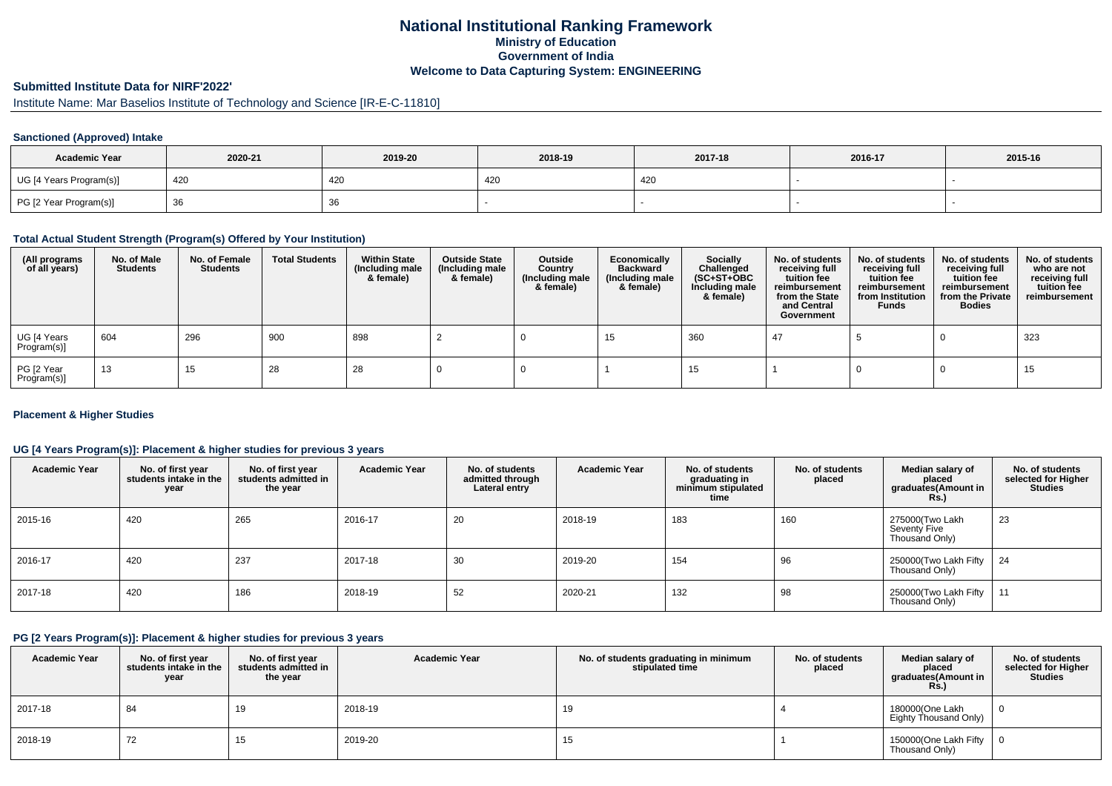## **National Institutional Ranking FrameworkMinistry of Education Government of IndiaWelcome to Data Capturing System: ENGINEERING**

## **Submitted Institute Data for NIRF'2022'**

# Institute Name: Mar Baselios Institute of Technology and Science [IR-E-C-11810]

### **Sanctioned (Approved) Intake**

| <b>Academic Year</b>    | 2020-21 | 2019-20 | 2018-19 | 2017-18 | 2016-17 | 2015-16 |
|-------------------------|---------|---------|---------|---------|---------|---------|
| UG [4 Years Program(s)] | 420     | 420     | 420     | 420     |         |         |
| PG [2 Year Program(s)]  | -၁၀     | ახ      |         |         |         |         |

#### **Total Actual Student Strength (Program(s) Offered by Your Institution)**

| (All programs<br>of all years) | No. of Male<br><b>Students</b> | No. of Female<br><b>Students</b> | <b>Total Students</b> | <b>Within State</b><br>(Including male<br>& female) | <b>Outside State</b><br>(Including male<br>& female) | Outside<br>Country<br>(Including male<br>& female) | Economically<br><b>Backward</b><br>(Including male<br>& female) | <b>Socially</b><br>Challenged<br>$(SC+ST+OBC)$<br>Including male<br>& female) | No. of students<br>receiving full<br>tuition fee<br>reimbursement<br>from the State<br>and Central<br>Government | No. of students<br>receiving full<br>tuition fee<br>reimbursement<br>from Institution<br><b>Funds</b> | No. of students<br>receiving full<br>tuition fee<br>reimbursement<br>from the Private<br><b>Bodies</b> | No. of students<br>who are not<br>receiving full<br>tuition fee<br>reimbursement |
|--------------------------------|--------------------------------|----------------------------------|-----------------------|-----------------------------------------------------|------------------------------------------------------|----------------------------------------------------|-----------------------------------------------------------------|-------------------------------------------------------------------------------|------------------------------------------------------------------------------------------------------------------|-------------------------------------------------------------------------------------------------------|--------------------------------------------------------------------------------------------------------|----------------------------------------------------------------------------------|
| UG [4 Years<br>Program(s)]     | 604                            | 296                              | 900                   | 898                                                 |                                                      |                                                    | 15                                                              | 360                                                                           |                                                                                                                  |                                                                                                       |                                                                                                        | 323                                                                              |
| PG [2 Year<br>Program(s)]      | 13                             | 15                               | 28                    | 28                                                  |                                                      |                                                    |                                                                 | 15                                                                            |                                                                                                                  |                                                                                                       |                                                                                                        | 15                                                                               |

### **Placement & Higher Studies**

### **UG [4 Years Program(s)]: Placement & higher studies for previous 3 years**

| <b>Academic Year</b> | No. of first year<br>students intake in the<br>year | No. of first vear<br>students admitted in<br>the year | <b>Academic Year</b> | No. of students<br>admitted through<br>Lateral entry | <b>Academic Year</b> | No. of students<br>graduating in<br>minimum stipulated<br>time | No. of students<br>placed | Median salary of<br>placed<br>graduates(Amount in<br><b>Rs.)</b> | No. of students<br>selected for Higher<br><b>Studies</b> |
|----------------------|-----------------------------------------------------|-------------------------------------------------------|----------------------|------------------------------------------------------|----------------------|----------------------------------------------------------------|---------------------------|------------------------------------------------------------------|----------------------------------------------------------|
| 2015-16              | 420                                                 | 265                                                   | 2016-17              | 20                                                   | 2018-19              | 183                                                            | 160                       | 275000(Two Lakh<br>Seventy Five<br>Thousand Only)                | 23                                                       |
| 2016-17              | 420                                                 | 237                                                   | 2017-18              | 30                                                   | 2019-20              | 154                                                            | 96                        | 250000(Two Lakh Fifty   24<br>Thousand Only)                     |                                                          |
| 2017-18              | 420                                                 | 186                                                   | 2018-19              | 52                                                   | 2020-21              | 132                                                            | 98                        | 250000(Two Lakh Fifty<br>Thousand Only)                          | l 11                                                     |

#### **PG [2 Years Program(s)]: Placement & higher studies for previous 3 years**

| <b>Academic Year</b> | No. of first year<br>students intake in the I<br>year | No. of first vear<br>students admitted in<br>the year | <b>Academic Year</b> | No. of students graduating in minimum<br>stipulated time | No. of students<br>placed | Median salary of<br>placed<br>graduates(Amount in<br><b>Rs.)</b> | No. of students<br>selected for Higher<br>Studies |
|----------------------|-------------------------------------------------------|-------------------------------------------------------|----------------------|----------------------------------------------------------|---------------------------|------------------------------------------------------------------|---------------------------------------------------|
| 2017-18              | 84                                                    |                                                       | 2018-19              | 19                                                       |                           | 180000(One Lakh<br>Eighty Thousand Only)                         |                                                   |
| 2018-19              | 72                                                    |                                                       | 2019-20              | 15                                                       |                           | 150000(One Lakh Fifty<br>Thousand Only)                          |                                                   |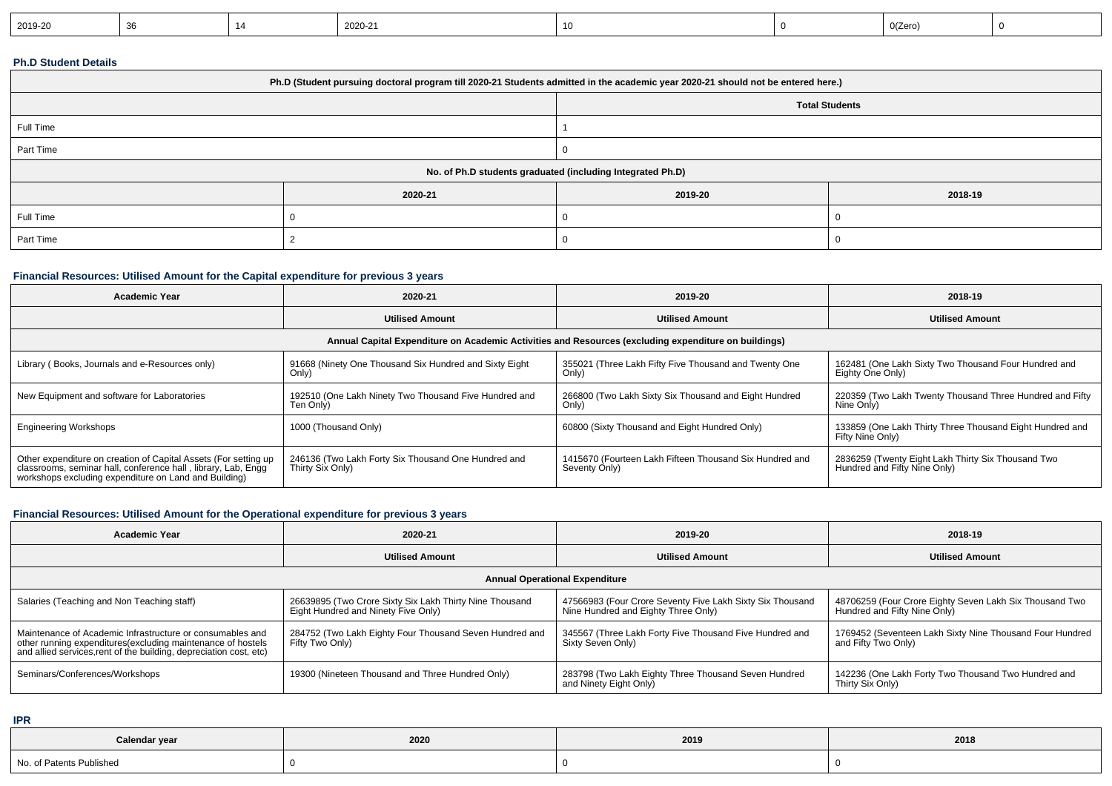| 2019-20 | . н. |  | 2020-21 |  |  | 0(Zero) |  |
|---------|------|--|---------|--|--|---------|--|
|---------|------|--|---------|--|--|---------|--|

### **Ph.D Student Details**

| Ph.D (Student pursuing doctoral program till 2020-21 Students admitted in the academic year 2020-21 should not be entered here.) |         |                       |         |  |  |  |  |
|----------------------------------------------------------------------------------------------------------------------------------|---------|-----------------------|---------|--|--|--|--|
|                                                                                                                                  |         | <b>Total Students</b> |         |  |  |  |  |
| Full Time                                                                                                                        |         |                       |         |  |  |  |  |
| Part Time                                                                                                                        |         |                       |         |  |  |  |  |
| No. of Ph.D students graduated (including Integrated Ph.D)                                                                       |         |                       |         |  |  |  |  |
|                                                                                                                                  | 2020-21 | 2019-20               | 2018-19 |  |  |  |  |
| Full Time                                                                                                                        |         |                       |         |  |  |  |  |
| Part Time                                                                                                                        |         |                       |         |  |  |  |  |

### **Financial Resources: Utilised Amount for the Capital expenditure for previous 3 years**

| <b>Academic Year</b>                                                                                                                                                                   | 2020-21                                                                 | 2019-20                                                                  | 2018-19                                                                                         |  |  |  |  |  |
|----------------------------------------------------------------------------------------------------------------------------------------------------------------------------------------|-------------------------------------------------------------------------|--------------------------------------------------------------------------|-------------------------------------------------------------------------------------------------|--|--|--|--|--|
|                                                                                                                                                                                        | <b>Utilised Amount</b>                                                  | <b>Utilised Amount</b>                                                   | <b>Utilised Amount</b>                                                                          |  |  |  |  |  |
| Annual Capital Expenditure on Academic Activities and Resources (excluding expenditure on buildings)                                                                                   |                                                                         |                                                                          |                                                                                                 |  |  |  |  |  |
| Library (Books, Journals and e-Resources only)                                                                                                                                         | 91668 (Ninety One Thousand Six Hundred and Sixty Eight<br>Only)         | 355021 (Three Lakh Fifty Five Thousand and Twenty One<br>Only)           | 162481 (One Lakh Sixty Two Thousand Four Hundred and<br>Eighty One Only)                        |  |  |  |  |  |
| New Equipment and software for Laboratories                                                                                                                                            | 192510 (One Lakh Ninety Two Thousand Five Hundred and<br>Ten Only)      | 266800 (Two Lakh Sixty Six Thousand and Eight Hundred<br>Only)           | 220359 (Two Lakh Twenty Thousand Three Hundred and Fifty<br>Nine Only)                          |  |  |  |  |  |
| <b>Engineering Workshops</b>                                                                                                                                                           | 1000 (Thousand Only)                                                    | 60800 (Sixty Thousand and Eight Hundred Only)                            | 133859 (One Lakh Thirty Three Thousand Eight Hundred and<br>Fifty Nine Only)                    |  |  |  |  |  |
| Other expenditure on creation of Capital Assets (For setting up classrooms, seminar hall, conference hall, library, Lab, Engg<br>workshops excluding expenditure on Land and Building) | 246136 (Two Lakh Forty Six Thousand One Hundred and<br>Thirty Six Only) | 1415670 (Fourteen Lakh Fifteen Thousand Six Hundred and<br>Seventy Only) | <sup>1</sup> 2836259 (Twenty Eight Lakh Thirty Six Thousand Two<br>Hundred and Fifty Nine Only) |  |  |  |  |  |

### **Financial Resources: Utilised Amount for the Operational expenditure for previous 3 years**

| <b>Academic Year</b>                                                                                                                                                                            | 2020-21                                                                                        | 2019-20                                                                                          | 2018-19                                                                                |  |  |  |  |
|-------------------------------------------------------------------------------------------------------------------------------------------------------------------------------------------------|------------------------------------------------------------------------------------------------|--------------------------------------------------------------------------------------------------|----------------------------------------------------------------------------------------|--|--|--|--|
|                                                                                                                                                                                                 | <b>Utilised Amount</b>                                                                         | <b>Utilised Amount</b>                                                                           | <b>Utilised Amount</b>                                                                 |  |  |  |  |
| <b>Annual Operational Expenditure</b>                                                                                                                                                           |                                                                                                |                                                                                                  |                                                                                        |  |  |  |  |
| Salaries (Teaching and Non Teaching staff)                                                                                                                                                      | 26639895 (Two Crore Sixty Six Lakh Thirty Nine Thousand<br>Eight Hundred and Ninety Five Only) | 47566983 (Four Crore Seventy Five Lakh Sixty Six Thousand<br>Nine Hundred and Eighty Three Only) | 48706259 (Four Crore Eighty Seven Lakh Six Thousand Two<br>Hundred and Fifty Nine Only |  |  |  |  |
| Maintenance of Academic Infrastructure or consumables and<br>other running expenditures (excluding maintenance of hostels<br>and allied services, rent of the building, depreciation cost, etc) | 284752 (Two Lakh Eighty Four Thousand Seven Hundred and<br>Fifty Two Only)                     | 345567 (Three Lakh Forty Five Thousand Five Hundred and<br>Sixty Seven Only)                     | 1769452 (Seventeen Lakh Sixty Nine Thousand Four Hundred<br>and Fifty Two Only)        |  |  |  |  |
| Seminars/Conferences/Workshops                                                                                                                                                                  | 19300 (Nineteen Thousand and Three Hundred Only)                                               | 283798 (Two Lakh Eighty Three Thousand Seven Hundred<br>and Ninety Eight Only)                   | 142236 (One Lakh Forty Two Thousand Two Hundred and<br>Thirty Six Only)                |  |  |  |  |

**IPR**

| Calendar year            | 2020 | 2019 | 2018 |
|--------------------------|------|------|------|
| No. of Patents Published |      |      |      |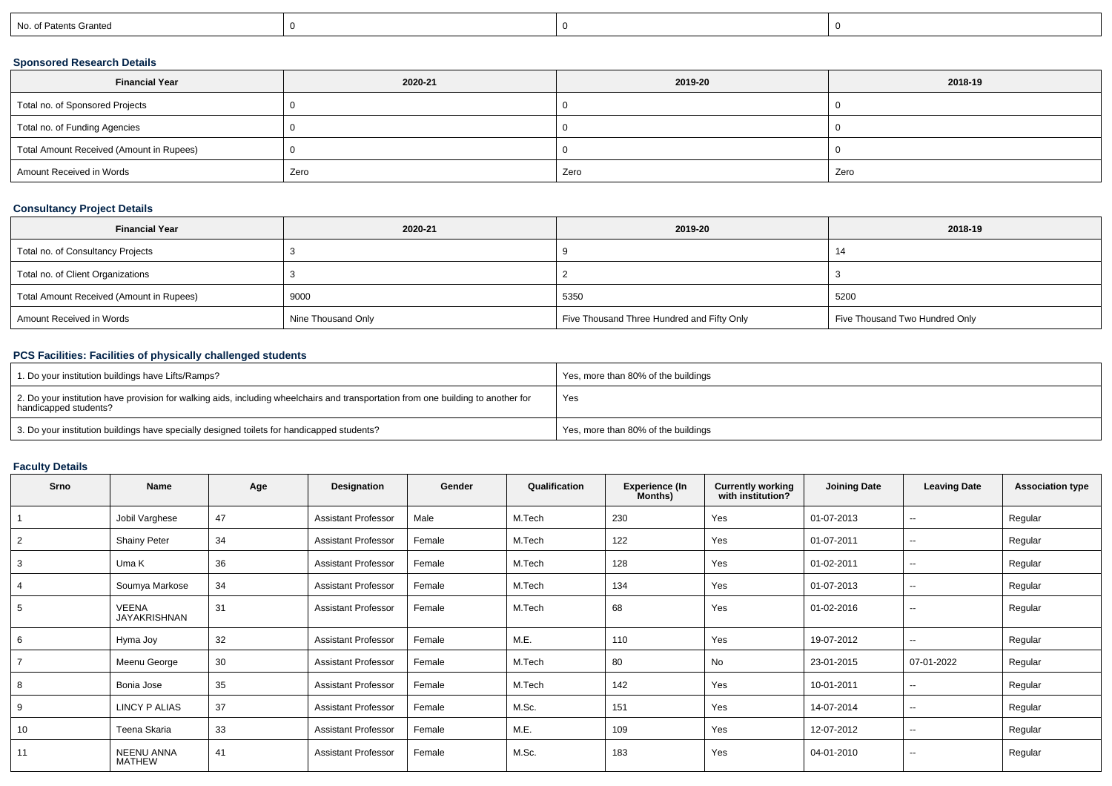| No. of Patents Granted |
|------------------------|
|------------------------|

### **Sponsored Research Details**

| <b>Financial Year</b>                    | 2020-21 | 2019-20 | 2018-19 |
|------------------------------------------|---------|---------|---------|
| Total no. of Sponsored Projects          |         |         |         |
| Total no. of Funding Agencies            |         |         |         |
| Total Amount Received (Amount in Rupees) |         |         |         |
| Amount Received in Words                 | Zero    | Zero    | Zero    |

### **Consultancy Project Details**

| <b>Financial Year</b>                    | 2020-21            | 2019-20                                    | 2018-19                        |
|------------------------------------------|--------------------|--------------------------------------------|--------------------------------|
| Total no. of Consultancy Projects        |                    |                                            | 14                             |
| Total no. of Client Organizations        |                    |                                            |                                |
| Total Amount Received (Amount in Rupees) | 9000               | 5350                                       | 5200                           |
| Amount Received in Words                 | Nine Thousand Only | Five Thousand Three Hundred and Fifty Only | Five Thousand Two Hundred Only |

### **PCS Facilities: Facilities of physically challenged students**

| 1. Do your institution buildings have Lifts/Ramps?                                                                                                         | Yes, more than 80% of the buildings |
|------------------------------------------------------------------------------------------------------------------------------------------------------------|-------------------------------------|
| 2. Do your institution have provision for walking aids, including wheelchairs and transportation from one building to another for<br>handicapped students? | Yes                                 |
| 3. Do your institution buildings have specially designed toilets for handicapped students?                                                                 | Yes, more than 80% of the buildings |

# **Faculty Details**

| Srno | <b>Name</b>                         | Age | Designation                | Gender | Qualification | <b>Experience (In</b><br>Months) | <b>Currently working</b><br>with institution? | <b>Joining Date</b> | <b>Leaving Date</b>      | <b>Association type</b> |
|------|-------------------------------------|-----|----------------------------|--------|---------------|----------------------------------|-----------------------------------------------|---------------------|--------------------------|-------------------------|
|      | Jobil Varghese                      | 47  | <b>Assistant Professor</b> | Male   | M.Tech        | 230                              | Yes                                           | 01-07-2013          | $\sim$                   | Regular                 |
| 2    | <b>Shainy Peter</b>                 | 34  | <b>Assistant Professor</b> | Female | M.Tech        | 122                              | Yes                                           | 01-07-2011          | $\sim$                   | Regular                 |
| 3    | Uma K                               | 36  | <b>Assistant Professor</b> | Female | M.Tech        | 128                              | Yes                                           | 01-02-2011          | $\overline{\phantom{a}}$ | Regular                 |
| 4    | Soumya Markose                      | 34  | <b>Assistant Professor</b> | Female | M.Tech        | 134                              | Yes                                           | 01-07-2013          | --                       | Regular                 |
| 5    | <b>VEENA</b><br><b>JAYAKRISHNAN</b> | 31  | <b>Assistant Professor</b> | Female | M.Tech        | 68                               | Yes                                           | 01-02-2016          | $\sim$                   | Regular                 |
| 6    | Hyma Joy                            | 32  | <b>Assistant Professor</b> | Female | M.E.          | 110                              | Yes                                           | 19-07-2012          | $\sim$                   | Regular                 |
|      | Meenu George                        | 30  | <b>Assistant Professor</b> | Female | M.Tech        | 80                               | <b>No</b>                                     | 23-01-2015          | 07-01-2022               | Regular                 |
| 8    | Bonia Jose                          | 35  | <b>Assistant Professor</b> | Female | M.Tech        | 142                              | Yes                                           | 10-01-2011          | $\sim$                   | Regular                 |
| 9    | LINCY P ALIAS                       | 37  | <b>Assistant Professor</b> | Female | M.Sc.         | 151                              | Yes                                           | 14-07-2014          | $\overline{\phantom{a}}$ | Regular                 |
| 10   | Teena Skaria                        | 33  | <b>Assistant Professor</b> | Female | M.E.          | 109                              | Yes                                           | 12-07-2012          | $\overline{\phantom{a}}$ | Regular                 |
| 11   | <b>NEENU ANNA</b><br><b>MATHEW</b>  | 41  | <b>Assistant Professor</b> | Female | M.Sc.         | 183                              | Yes                                           | 04-01-2010          | $\overline{\phantom{a}}$ | Regular                 |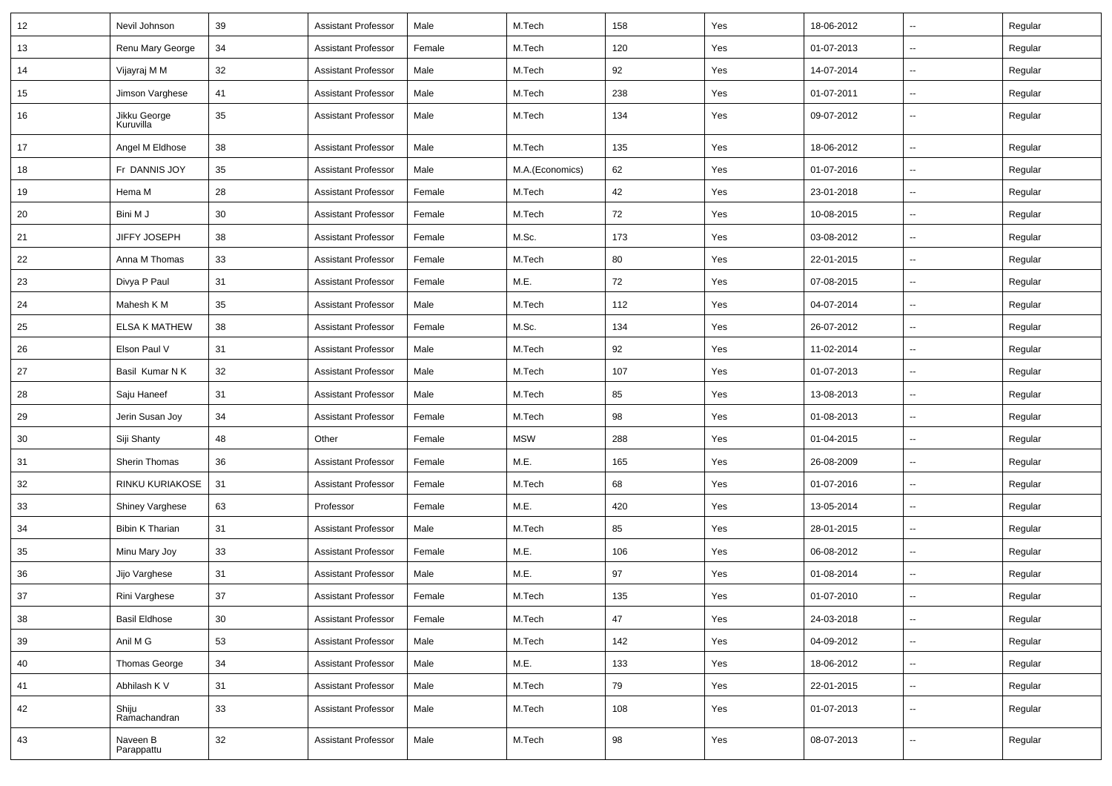| 12 | Nevil Johnson             | 39 | <b>Assistant Professor</b> | Male   | M.Tech          | 158 | Yes | 18-06-2012 | $\overline{\phantom{a}}$ | Regular |
|----|---------------------------|----|----------------------------|--------|-----------------|-----|-----|------------|--------------------------|---------|
| 13 | Renu Mary George          | 34 | <b>Assistant Professor</b> | Female | M.Tech          | 120 | Yes | 01-07-2013 | --                       | Regular |
| 14 | Vijayraj M M              | 32 | <b>Assistant Professor</b> | Male   | M.Tech          | 92  | Yes | 14-07-2014 | $\overline{\phantom{a}}$ | Regular |
| 15 | Jimson Varghese           | 41 | <b>Assistant Professor</b> | Male   | M.Tech          | 238 | Yes | 01-07-2011 | --                       | Regular |
| 16 | Jikku George<br>Kuruvilla | 35 | <b>Assistant Professor</b> | Male   | M.Tech          | 134 | Yes | 09-07-2012 | --                       | Regular |
| 17 | Angel M Eldhose           | 38 | <b>Assistant Professor</b> | Male   | M.Tech          | 135 | Yes | 18-06-2012 | --                       | Regular |
| 18 | Fr DANNIS JOY             | 35 | <b>Assistant Professor</b> | Male   | M.A.(Economics) | 62  | Yes | 01-07-2016 | Ξ.                       | Regular |
| 19 | Hema M                    | 28 | <b>Assistant Professor</b> | Female | M.Tech          | 42  | Yes | 23-01-2018 | $\overline{\phantom{a}}$ | Regular |
| 20 | Bini M J                  | 30 | <b>Assistant Professor</b> | Female | M.Tech          | 72  | Yes | 10-08-2015 | --                       | Regular |
| 21 | JIFFY JOSEPH              | 38 | <b>Assistant Professor</b> | Female | M.Sc.           | 173 | Yes | 03-08-2012 | $\sim$                   | Regular |
| 22 | Anna M Thomas             | 33 | <b>Assistant Professor</b> | Female | M.Tech          | 80  | Yes | 22-01-2015 | --                       | Regular |
| 23 | Divya P Paul              | 31 | <b>Assistant Professor</b> | Female | M.E.            | 72  | Yes | 07-08-2015 | -−                       | Regular |
| 24 | Mahesh K M                | 35 | <b>Assistant Professor</b> | Male   | M.Tech          | 112 | Yes | 04-07-2014 | Ξ.                       | Regular |
| 25 | <b>ELSA K MATHEW</b>      | 38 | <b>Assistant Professor</b> | Female | M.Sc.           | 134 | Yes | 26-07-2012 | Ξ.                       | Regular |
| 26 | Elson Paul V              | 31 | <b>Assistant Professor</b> | Male   | M.Tech          | 92  | Yes | 11-02-2014 | --                       | Regular |
| 27 | Basil Kumar N K           | 32 | <b>Assistant Professor</b> | Male   | M.Tech          | 107 | Yes | 01-07-2013 | $\overline{\phantom{a}}$ | Regular |
| 28 | Saju Haneef               | 31 | <b>Assistant Professor</b> | Male   | M.Tech          | 85  | Yes | 13-08-2013 | --                       | Regular |
| 29 | Jerin Susan Joy           | 34 | <b>Assistant Professor</b> | Female | M.Tech          | 98  | Yes | 01-08-2013 | $\overline{\phantom{a}}$ | Regular |
| 30 | Siji Shanty               | 48 | Other                      | Female | <b>MSW</b>      | 288 | Yes | 01-04-2015 | Ξ.                       | Regular |
| 31 | Sherin Thomas             | 36 | <b>Assistant Professor</b> | Female | M.E.            | 165 | Yes | 26-08-2009 | $\overline{\phantom{a}}$ | Regular |
| 32 | RINKU KURIAKOSE           | 31 | <b>Assistant Professor</b> | Female | M.Tech          | 68  | Yes | 01-07-2016 | -−                       | Regular |
| 33 | Shiney Varghese           | 63 | Professor                  | Female | M.E.            | 420 | Yes | 13-05-2014 | Ξ.                       | Regular |
| 34 | <b>Bibin K Tharian</b>    | 31 | <b>Assistant Professor</b> | Male   | M.Tech          | 85  | Yes | 28-01-2015 | --                       | Regular |
| 35 | Minu Mary Joy             | 33 | <b>Assistant Professor</b> | Female | M.E.            | 106 | Yes | 06-08-2012 | --                       | Regular |
| 36 | Jijo Varghese             | 31 | <b>Assistant Professor</b> | Male   | M.E.            | 97  | Yes | 01-08-2014 | Ξ.                       | Regular |
| 37 | Rini Varghese             | 37 | <b>Assistant Professor</b> | Female | M.Tech          | 135 | Yes | 01-07-2010 | Ξ.                       | Regular |
| 38 | <b>Basil Eldhose</b>      | 30 | <b>Assistant Professor</b> | Female | M.Tech          | 47  | Yes | 24-03-2018 | $\sim$                   | Regular |
| 39 | Anil M G                  | 53 | <b>Assistant Professor</b> | Male   | M.Tech          | 142 | Yes | 04-09-2012 | $\sim$                   | Regular |
| 40 | Thomas George             | 34 | <b>Assistant Professor</b> | Male   | M.E.            | 133 | Yes | 18-06-2012 | $\sim$                   | Regular |
| 41 | Abhilash K V              | 31 | <b>Assistant Professor</b> | Male   | M.Tech          | 79  | Yes | 22-01-2015 | --                       | Regular |
| 42 | Shiju<br>Ramachandran     | 33 | <b>Assistant Professor</b> | Male   | M.Tech          | 108 | Yes | 01-07-2013 | Щ,                       | Regular |
| 43 | Naveen B<br>Parappattu    | 32 | <b>Assistant Professor</b> | Male   | M.Tech          | 98  | Yes | 08-07-2013 | $\overline{\phantom{a}}$ | Regular |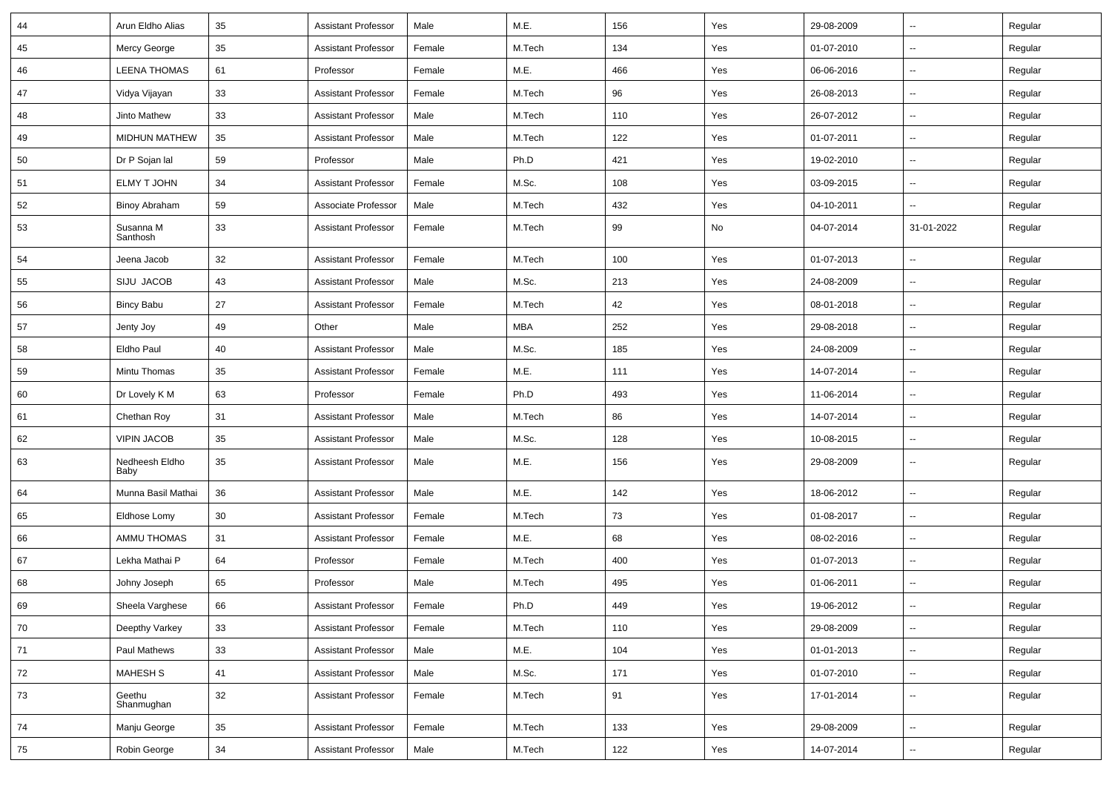| 44 | Arun Eldho Alias       | 35 | <b>Assistant Professor</b> | Male   | M.E.       | 156 | Yes | 29-08-2009 | Ξ.                       | Regular |
|----|------------------------|----|----------------------------|--------|------------|-----|-----|------------|--------------------------|---------|
| 45 | Mercy George           | 35 | <b>Assistant Professor</b> | Female | M.Tech     | 134 | Yes | 01-07-2010 | $\overline{\phantom{a}}$ | Regular |
| 46 | <b>LEENA THOMAS</b>    | 61 | Professor                  | Female | M.E.       | 466 | Yes | 06-06-2016 | $\sim$                   | Regular |
| 47 | Vidya Vijayan          | 33 | <b>Assistant Professor</b> | Female | M.Tech     | 96  | Yes | 26-08-2013 | $\overline{\phantom{a}}$ | Regular |
| 48 | Jinto Mathew           | 33 | <b>Assistant Professor</b> | Male   | M.Tech     | 110 | Yes | 26-07-2012 | -−                       | Regular |
| 49 | <b>MIDHUN MATHEW</b>   | 35 | <b>Assistant Professor</b> | Male   | M.Tech     | 122 | Yes | 01-07-2011 | Ξ.                       | Regular |
| 50 | Dr P Sojan lal         | 59 | Professor                  | Male   | Ph.D       | 421 | Yes | 19-02-2010 | $\sim$                   | Regular |
| 51 | ELMY T JOHN            | 34 | <b>Assistant Professor</b> | Female | M.Sc.      | 108 | Yes | 03-09-2015 | ⊶.                       | Regular |
| 52 | <b>Binoy Abraham</b>   | 59 | Associate Professor        | Male   | M.Tech     | 432 | Yes | 04-10-2011 | $\overline{\phantom{a}}$ | Regular |
| 53 | Susanna M<br>Santhosh  | 33 | <b>Assistant Professor</b> | Female | M.Tech     | 99  | No  | 04-07-2014 | 31-01-2022               | Regular |
| 54 | Jeena Jacob            | 32 | <b>Assistant Professor</b> | Female | M.Tech     | 100 | Yes | 01-07-2013 | $\overline{\phantom{a}}$ | Regular |
| 55 | SIJU JACOB             | 43 | <b>Assistant Professor</b> | Male   | M.Sc.      | 213 | Yes | 24-08-2009 | $\overline{\phantom{a}}$ | Regular |
| 56 | <b>Bincy Babu</b>      | 27 | <b>Assistant Professor</b> | Female | M.Tech     | 42  | Yes | 08-01-2018 | $\sim$                   | Regular |
| 57 | Jenty Joy              | 49 | Other                      | Male   | <b>MBA</b> | 252 | Yes | 29-08-2018 | $\sim$                   | Regular |
| 58 | Eldho Paul             | 40 | <b>Assistant Professor</b> | Male   | M.Sc.      | 185 | Yes | 24-08-2009 | $\overline{\phantom{a}}$ | Regular |
| 59 | Mintu Thomas           | 35 | <b>Assistant Professor</b> | Female | M.E.       | 111 | Yes | 14-07-2014 | Ξ.                       | Regular |
| 60 | Dr Lovely K M          | 63 | Professor                  | Female | Ph.D       | 493 | Yes | 11-06-2014 | $\overline{\phantom{a}}$ | Regular |
| 61 | Chethan Roy            | 31 | <b>Assistant Professor</b> | Male   | M.Tech     | 86  | Yes | 14-07-2014 | -−                       | Regular |
| 62 | <b>VIPIN JACOB</b>     | 35 | <b>Assistant Professor</b> | Male   | M.Sc.      | 128 | Yes | 10-08-2015 | Ξ.                       | Regular |
| 63 | Nedheesh Eldho<br>Baby | 35 | <b>Assistant Professor</b> | Male   | M.E.       | 156 | Yes | 29-08-2009 | $\overline{\phantom{a}}$ | Regular |
| 64 | Munna Basil Mathai     | 36 | <b>Assistant Professor</b> | Male   | M.E.       | 142 | Yes | 18-06-2012 | ш.                       | Regular |
| 65 | Eldhose Lomy           | 30 | <b>Assistant Professor</b> | Female | M.Tech     | 73  | Yes | 01-08-2017 | ⊶.                       | Regular |
| 66 | <b>AMMU THOMAS</b>     | 31 | <b>Assistant Professor</b> | Female | M.E.       | 68  | Yes | 08-02-2016 | $\sim$                   | Regular |
| 67 | Lekha Mathai P         | 64 | Professor                  | Female | M.Tech     | 400 | Yes | 01-07-2013 | --                       | Regular |
| 68 | Johny Joseph           | 65 | Professor                  | Male   | M.Tech     | 495 | Yes | 01-06-2011 | ⊷.                       | Regular |
| 69 | Sheela Varghese        | 66 | Assistant Professor        | Female | Ph.D       | 449 | Yes | 19-06-2012 |                          | Regular |
| 70 | Deepthy Varkey         | 33 | <b>Assistant Professor</b> | Female | M.Tech     | 110 | Yes | 29-08-2009 | $\overline{\phantom{a}}$ | Regular |
| 71 | Paul Mathews           | 33 | <b>Assistant Professor</b> | Male   | M.E.       | 104 | Yes | 01-01-2013 | $\overline{\phantom{a}}$ | Regular |
| 72 | MAHESH S               | 41 | <b>Assistant Professor</b> | Male   | M.Sc.      | 171 | Yes | 01-07-2010 | Щ,                       | Regular |
| 73 | Geethu<br>Shanmughan   | 32 | <b>Assistant Professor</b> | Female | M.Tech     | 91  | Yes | 17-01-2014 | $\overline{\phantom{a}}$ | Regular |
| 74 | Manju George           | 35 | <b>Assistant Professor</b> | Female | M.Tech     | 133 | Yes | 29-08-2009 | $\overline{\phantom{a}}$ | Regular |
| 75 | Robin George           | 34 | <b>Assistant Professor</b> | Male   | M.Tech     | 122 | Yes | 14-07-2014 | --                       | Regular |